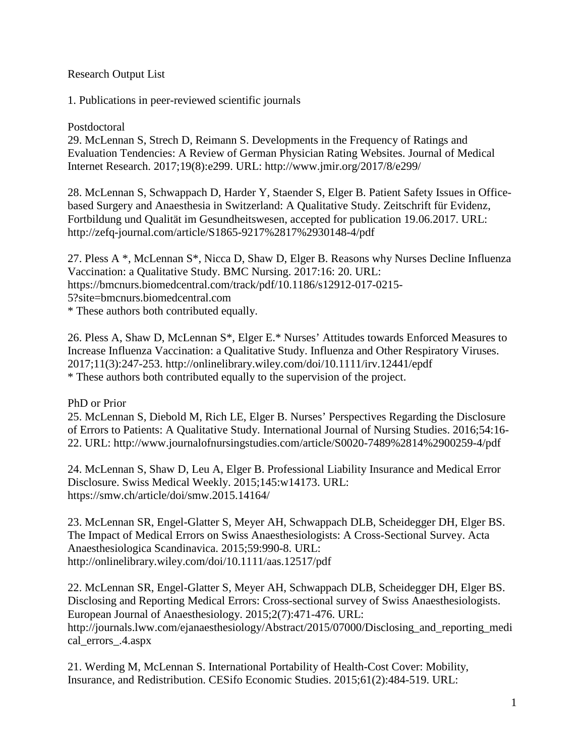# Research Output List

1. Publications in peer-reviewed scientific journals

### Postdoctoral

29. McLennan S, Strech D, Reimann S. Developments in the Frequency of Ratings and Evaluation Tendencies: A Review of German Physician Rating Websites. Journal of Medical Internet Research. 2017;19(8):e299. URL: http://www.jmir.org/2017/8/e299/

28. McLennan S, Schwappach D, Harder Y, Staender S, Elger B. Patient Safety Issues in Officebased Surgery and Anaesthesia in Switzerland: A Qualitative Study. Zeitschrift für Evidenz, Fortbildung und Qualität im Gesundheitswesen, accepted for publication 19.06.2017. URL: http://zefq-journal.com/article/S1865-9217%2817%2930148-4/pdf

27. Pless A \*, McLennan S\*, Nicca D, Shaw D, Elger B. Reasons why Nurses Decline Influenza Vaccination: a Qualitative Study. BMC Nursing. 2017:16: 20. URL: https://bmcnurs.biomedcentral.com/track/pdf/10.1186/s12912-017-0215- 5?site=bmcnurs.biomedcentral.com \* These authors both contributed equally.

26. Pless A, Shaw D, McLennan S\*, Elger E.\* Nurses' Attitudes towards Enforced Measures to Increase Influenza Vaccination: a Qualitative Study. Influenza and Other Respiratory Viruses. 2017;11(3):247-253. http://onlinelibrary.wiley.com/doi/10.1111/irv.12441/epdf \* These authors both contributed equally to the supervision of the project.

PhD or Prior

25. McLennan S, Diebold M, Rich LE, Elger B. Nurses' Perspectives Regarding the Disclosure of Errors to Patients: A Qualitative Study. International Journal of Nursing Studies. 2016;54:16- 22. URL: http://www.journalofnursingstudies.com/article/S0020-7489%2814%2900259-4/pdf

24. McLennan S, Shaw D, Leu A, Elger B. Professional Liability Insurance and Medical Error Disclosure. Swiss Medical Weekly. 2015;145:w14173. URL: https://smw.ch/article/doi/smw.2015.14164/

23. McLennan SR, Engel-Glatter S, Meyer AH, Schwappach DLB, Scheidegger DH, Elger BS. The Impact of Medical Errors on Swiss Anaesthesiologists: A Cross-Sectional Survey. Acta Anaesthesiologica Scandinavica. 2015;59:990-8. URL: http://onlinelibrary.wiley.com/doi/10.1111/aas.12517/pdf

22. McLennan SR, Engel-Glatter S, Meyer AH, Schwappach DLB, Scheidegger DH, Elger BS. Disclosing and Reporting Medical Errors: Cross-sectional survey of Swiss Anaesthesiologists. European Journal of Anaesthesiology. 2015;2(7):471-476. URL: http://journals.lww.com/ejanaesthesiology/Abstract/2015/07000/Disclosing\_and\_reporting\_medi cal\_errors\_.4.aspx

21. Werding M, McLennan S. International Portability of Health-Cost Cover: Mobility, Insurance, and Redistribution. CESifo Economic Studies. 2015;61(2):484-519. URL: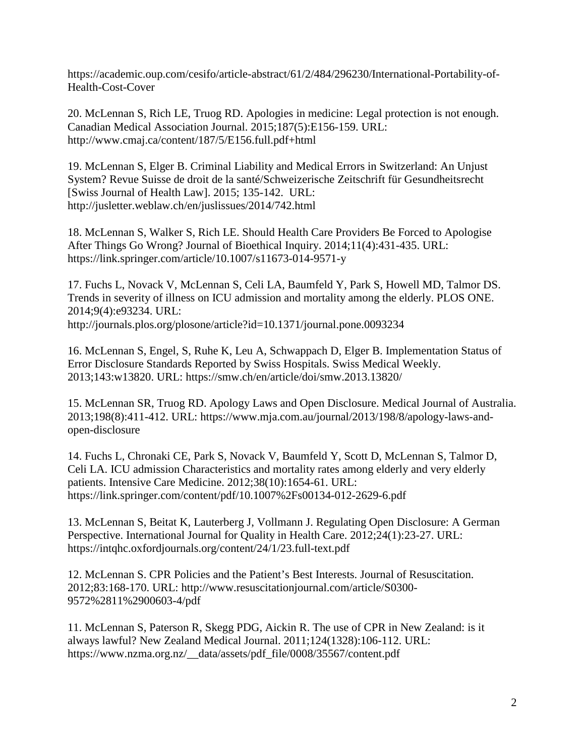https://academic.oup.com/cesifo/article-abstract/61/2/484/296230/International-Portability-of-Health-Cost-Cover

20. McLennan S, Rich LE, Truog RD. Apologies in medicine: Legal protection is not enough. Canadian Medical Association Journal. 2015;187(5):E156-159. URL: http://www.cmaj.ca/content/187/5/E156.full.pdf+html

19. McLennan S, Elger B. Criminal Liability and Medical Errors in Switzerland: An Unjust System? Revue Suisse de droit de la santé/Schweizerische Zeitschrift für Gesundheitsrecht [Swiss Journal of Health Law]. 2015; 135-142. URL: http://jusletter.weblaw.ch/en/juslissues/2014/742.html

18. McLennan S, Walker S, Rich LE. Should Health Care Providers Be Forced to Apologise After Things Go Wrong? Journal of Bioethical Inquiry. 2014;11(4):431-435. URL: https://link.springer.com/article/10.1007/s11673-014-9571-y

17. Fuchs L, Novack V, McLennan S, Celi LA, Baumfeld Y, Park S, Howell MD, Talmor DS. Trends in severity of illness on ICU admission and mortality among the elderly. PLOS ONE. 2014;9(4):e93234. URL: http://journals.plos.org/plosone/article?id=10.1371/journal.pone.0093234

16. McLennan S, Engel, S, Ruhe K, Leu A, Schwappach D, Elger B. Implementation Status of Error Disclosure Standards Reported by Swiss Hospitals. Swiss Medical Weekly. 2013;143:w13820. URL: https://smw.ch/en/article/doi/smw.2013.13820/

15. McLennan SR, Truog RD. Apology Laws and Open Disclosure. Medical Journal of Australia. 2013;198(8):411-412. URL: https://www.mja.com.au/journal/2013/198/8/apology-laws-andopen-disclosure

14. Fuchs L, Chronaki CE, Park S, Novack V, Baumfeld Y, Scott D, McLennan S, Talmor D, Celi LA. ICU admission Characteristics and mortality rates among elderly and very elderly patients. Intensive Care Medicine. 2012;38(10):1654-61. URL: https://link.springer.com/content/pdf/10.1007%2Fs00134-012-2629-6.pdf

13. McLennan S, Beitat K, Lauterberg J, Vollmann J. Regulating Open Disclosure: A German Perspective. International Journal for Quality in Health Care. 2012;24(1):23-27. URL: https://intqhc.oxfordjournals.org/content/24/1/23.full-text.pdf

12. McLennan S. CPR Policies and the Patient's Best Interests. Journal of Resuscitation. 2012;83:168-170. URL: http://www.resuscitationjournal.com/article/S0300- 9572%2811%2900603-4/pdf

11. McLennan S, Paterson R, Skegg PDG, Aickin R. The use of CPR in New Zealand: is it always lawful? New Zealand Medical Journal. 2011;124(1328):106-112. URL: https://www.nzma.org.nz/\_\_data/assets/pdf\_file/0008/35567/content.pdf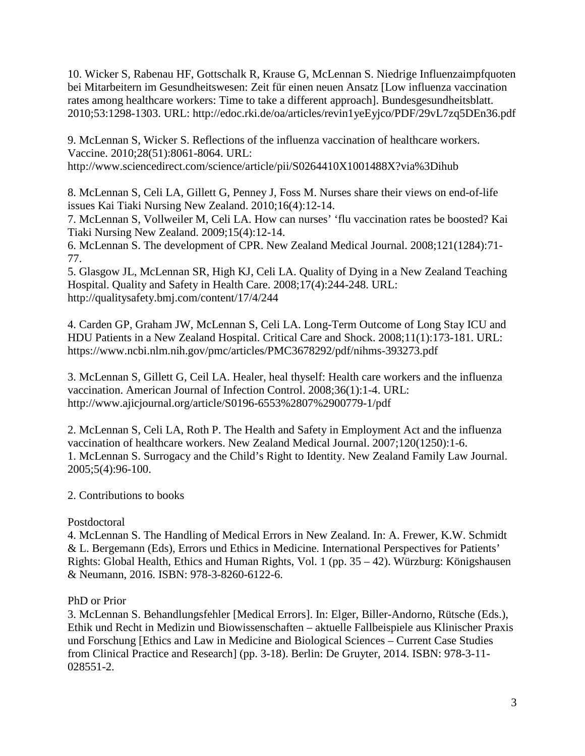10. Wicker S, Rabenau HF, Gottschalk R, Krause G, McLennan S. Niedrige Influenzaimpfquoten bei Mitarbeitern im Gesundheitswesen: Zeit für einen neuen Ansatz [Low influenza vaccination rates among healthcare workers: Time to take a different approach]. Bundesgesundheitsblatt. 2010;53:1298-1303. URL: http://edoc.rki.de/oa/articles/revin1yeEyjco/PDF/29vL7zq5DEn36.pdf

9. McLennan S, Wicker S. Reflections of the influenza vaccination of healthcare workers. Vaccine. 2010;28(51):8061-8064. URL: http://www.sciencedirect.com/science/article/pii/S0264410X1001488X?via%3Dihub

8. McLennan S, Celi LA, Gillett G, Penney J, Foss M. Nurses share their views on end-of-life issues Kai Tiaki Nursing New Zealand. 2010;16(4):12-14.

7. McLennan S, Vollweiler M, Celi LA. How can nurses' 'flu vaccination rates be boosted? Kai Tiaki Nursing New Zealand. 2009;15(4):12-14.

6. McLennan S. The development of CPR. New Zealand Medical Journal. 2008;121(1284):71- 77.

5. Glasgow JL, McLennan SR, High KJ, Celi LA. Quality of Dying in a New Zealand Teaching Hospital. Quality and Safety in Health Care. 2008;17(4):244-248. URL: http://qualitysafety.bmj.com/content/17/4/244

4. Carden GP, Graham JW, McLennan S, Celi LA. Long-Term Outcome of Long Stay ICU and HDU Patients in a New Zealand Hospital. Critical Care and Shock. 2008;11(1):173-181. URL: https://www.ncbi.nlm.nih.gov/pmc/articles/PMC3678292/pdf/nihms-393273.pdf

3. McLennan S, Gillett G, Ceil LA. Healer, heal thyself: Health care workers and the influenza vaccination. American Journal of Infection Control. 2008;36(1):1-4. URL: http://www.ajicjournal.org/article/S0196-6553%2807%2900779-1/pdf

2. McLennan S, Celi LA, Roth P. The Health and Safety in Employment Act and the influenza vaccination of healthcare workers. New Zealand Medical Journal. 2007;120(1250):1-6. 1. McLennan S. Surrogacy and the Child's Right to Identity. New Zealand Family Law Journal. 2005;5(4):96-100.

# 2. Contributions to books

# Postdoctoral

4. McLennan S. The Handling of Medical Errors in New Zealand. In: A. Frewer, K.W. Schmidt & L. Bergemann (Eds), Errors und Ethics in Medicine. International Perspectives for Patients' Rights: Global Health, Ethics and Human Rights, Vol. 1 (pp. 35 – 42). Würzburg: Königshausen & Neumann, 2016. ISBN: 978-3-8260-6122-6.

# PhD or Prior

3. McLennan S. Behandlungsfehler [Medical Errors]. In: Elger, Biller-Andorno, Rütsche (Eds.), Ethik und Recht in Medizin und Biowissenschaften – aktuelle Fallbeispiele aus Klinischer Praxis und Forschung [Ethics and Law in Medicine and Biological Sciences – Current Case Studies from Clinical Practice and Research] (pp. 3-18). Berlin: De Gruyter, 2014. ISBN: 978-3-11- 028551-2.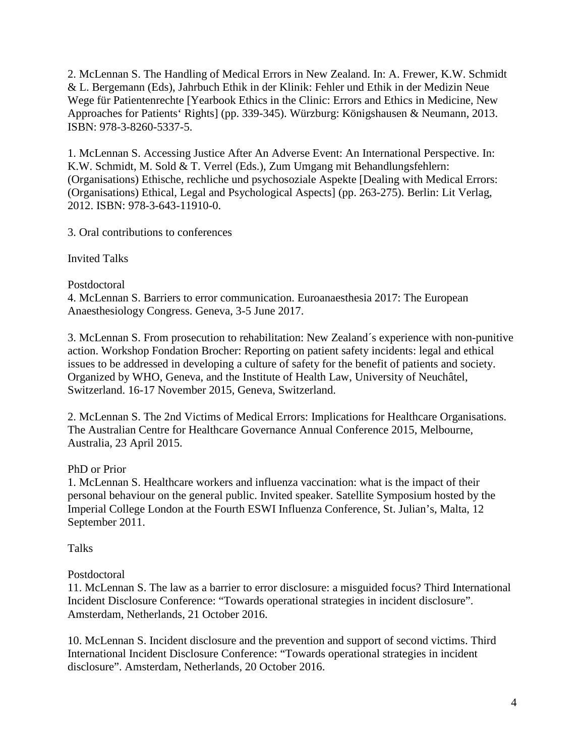2. McLennan S. The Handling of Medical Errors in New Zealand. In: A. Frewer, K.W. Schmidt & L. Bergemann (Eds), Jahrbuch Ethik in der Klinik: Fehler und Ethik in der Medizin Neue Wege für Patientenrechte [Yearbook Ethics in the Clinic: Errors and Ethics in Medicine, New Approaches for Patients' Rights] (pp. 339-345). Würzburg: Königshausen & Neumann, 2013. ISBN: 978-3-8260-5337-5.

1. McLennan S. Accessing Justice After An Adverse Event: An International Perspective. In: K.W. Schmidt, M. Sold & T. Verrel (Eds.), Zum Umgang mit Behandlungsfehlern: (Organisations) Ethische, rechliche und psychosoziale Aspekte [Dealing with Medical Errors: (Organisations) Ethical, Legal and Psychological Aspects] (pp. 263-275). Berlin: Lit Verlag, 2012. ISBN: 978-3-643-11910-0.

3. Oral contributions to conferences

Invited Talks

Postdoctoral

4. McLennan S. Barriers to error communication. Euroanaesthesia 2017: The European Anaesthesiology Congress. Geneva, 3-5 June 2017.

3. McLennan S. From prosecution to rehabilitation: New Zealand´s experience with non-punitive action. Workshop Fondation Brocher: Reporting on patient safety incidents: legal and ethical issues to be addressed in developing a culture of safety for the benefit of patients and society. Organized by WHO, Geneva, and the Institute of Health Law, University of Neuchâtel, Switzerland. 16-17 November 2015, Geneva, Switzerland.

2. McLennan S. The 2nd Victims of Medical Errors: Implications for Healthcare Organisations. The Australian Centre for Healthcare Governance Annual Conference 2015, Melbourne, Australia, 23 April 2015.

# PhD or Prior

1. McLennan S. Healthcare workers and influenza vaccination: what is the impact of their personal behaviour on the general public. Invited speaker. Satellite Symposium hosted by the Imperial College London at the Fourth ESWI Influenza Conference, St. Julian's, Malta, 12 September 2011.

Talks

# Postdoctoral

11. McLennan S. The law as a barrier to error disclosure: a misguided focus? Third International Incident Disclosure Conference: "Towards operational strategies in incident disclosure". Amsterdam, Netherlands, 21 October 2016.

10. McLennan S. Incident disclosure and the prevention and support of second victims. Third International Incident Disclosure Conference: "Towards operational strategies in incident disclosure". Amsterdam, Netherlands, 20 October 2016.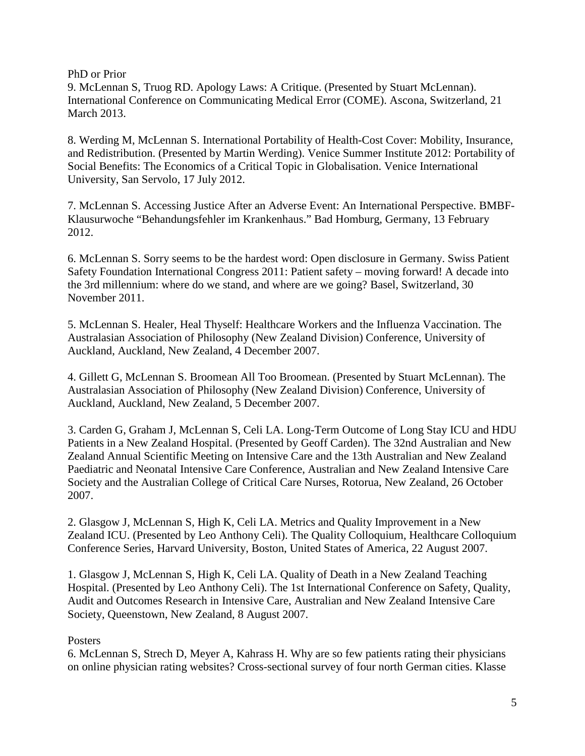PhD or Prior

9. McLennan S, Truog RD. Apology Laws: A Critique. (Presented by Stuart McLennan). International Conference on Communicating Medical Error (COME). Ascona, Switzerland, 21 March 2013.

8. Werding M, McLennan S. International Portability of Health-Cost Cover: Mobility, Insurance, and Redistribution. (Presented by Martin Werding). Venice Summer Institute 2012: Portability of Social Benefits: The Economics of a Critical Topic in Globalisation. Venice International University, San Servolo, 17 July 2012.

7. McLennan S. Accessing Justice After an Adverse Event: An International Perspective. BMBF-Klausurwoche "Behandungsfehler im Krankenhaus." Bad Homburg, Germany, 13 February 2012.

6. McLennan S. Sorry seems to be the hardest word: Open disclosure in Germany. Swiss Patient Safety Foundation International Congress 2011: Patient safety – moving forward! A decade into the 3rd millennium: where do we stand, and where are we going? Basel, Switzerland, 30 November 2011.

5. McLennan S. Healer, Heal Thyself: Healthcare Workers and the Influenza Vaccination. The Australasian Association of Philosophy (New Zealand Division) Conference, University of Auckland, Auckland, New Zealand, 4 December 2007.

4. Gillett G, McLennan S. Broomean All Too Broomean. (Presented by Stuart McLennan). The Australasian Association of Philosophy (New Zealand Division) Conference, University of Auckland, Auckland, New Zealand, 5 December 2007.

3. Carden G, Graham J, McLennan S, Celi LA. Long-Term Outcome of Long Stay ICU and HDU Patients in a New Zealand Hospital. (Presented by Geoff Carden). The 32nd Australian and New Zealand Annual Scientific Meeting on Intensive Care and the 13th Australian and New Zealand Paediatric and Neonatal Intensive Care Conference, Australian and New Zealand Intensive Care Society and the Australian College of Critical Care Nurses, Rotorua, New Zealand, 26 October 2007.

2. Glasgow J, McLennan S, High K, Celi LA. Metrics and Quality Improvement in a New Zealand ICU. (Presented by Leo Anthony Celi). The Quality Colloquium, Healthcare Colloquium Conference Series, Harvard University, Boston, United States of America, 22 August 2007.

1. Glasgow J, McLennan S, High K, Celi LA. Quality of Death in a New Zealand Teaching Hospital. (Presented by Leo Anthony Celi). The 1st International Conference on Safety, Quality, Audit and Outcomes Research in Intensive Care, Australian and New Zealand Intensive Care Society, Queenstown, New Zealand, 8 August 2007.

# **Posters**

6. McLennan S, Strech D, Meyer A, Kahrass H. Why are so few patients rating their physicians on online physician rating websites? Cross-sectional survey of four north German cities. Klasse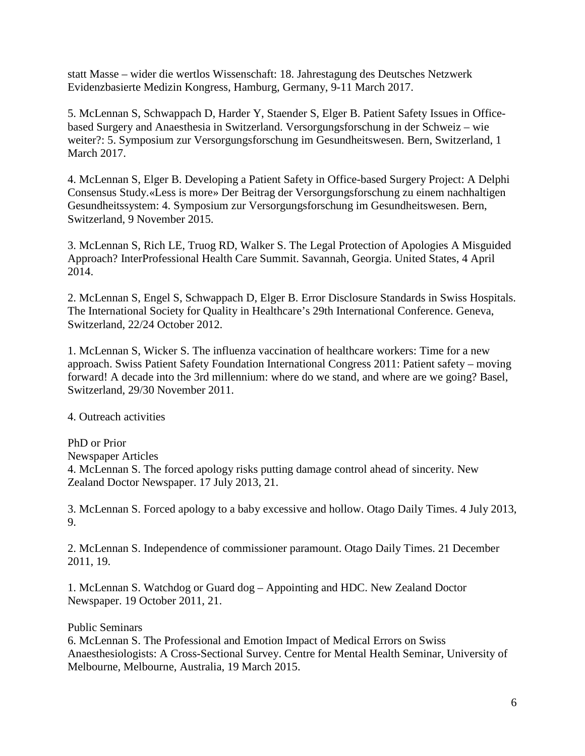statt Masse – wider die wertlos Wissenschaft: 18. Jahrestagung des Deutsches Netzwerk Evidenzbasierte Medizin Kongress, Hamburg, Germany, 9-11 March 2017.

5. McLennan S, Schwappach D, Harder Y, Staender S, Elger B. Patient Safety Issues in Officebased Surgery and Anaesthesia in Switzerland. Versorgungsforschung in der Schweiz – wie weiter?: 5. Symposium zur Versorgungsforschung im Gesundheitswesen. Bern, Switzerland, 1 March 2017.

4. McLennan S, Elger B. Developing a Patient Safety in Office-based Surgery Project: A Delphi Consensus Study.«Less is more» Der Beitrag der Versorgungsforschung zu einem nachhaltigen Gesundheitssystem: 4. Symposium zur Versorgungsforschung im Gesundheitswesen. Bern, Switzerland, 9 November 2015.

3. McLennan S, Rich LE, Truog RD, Walker S. The Legal Protection of Apologies A Misguided Approach? InterProfessional Health Care Summit. Savannah, Georgia. United States, 4 April 2014.

2. McLennan S, Engel S, Schwappach D, Elger B. Error Disclosure Standards in Swiss Hospitals. The International Society for Quality in Healthcare's 29th International Conference. Geneva, Switzerland, 22/24 October 2012.

1. McLennan S, Wicker S. The influenza vaccination of healthcare workers: Time for a new approach. Swiss Patient Safety Foundation International Congress 2011: Patient safety – moving forward! A decade into the 3rd millennium: where do we stand, and where are we going? Basel, Switzerland, 29/30 November 2011.

4. Outreach activities

PhD or Prior Newspaper Articles 4. McLennan S. The forced apology risks putting damage control ahead of sincerity. New Zealand Doctor Newspaper. 17 July 2013, 21.

3. McLennan S. Forced apology to a baby excessive and hollow. Otago Daily Times. 4 July 2013, 9.

2. McLennan S. Independence of commissioner paramount. Otago Daily Times. 21 December 2011, 19.

1. McLennan S. Watchdog or Guard dog – Appointing and HDC. New Zealand Doctor Newspaper. 19 October 2011, 21.

Public Seminars

6. McLennan S. The Professional and Emotion Impact of Medical Errors on Swiss Anaesthesiologists: A Cross-Sectional Survey. Centre for Mental Health Seminar, University of Melbourne, Melbourne, Australia, 19 March 2015.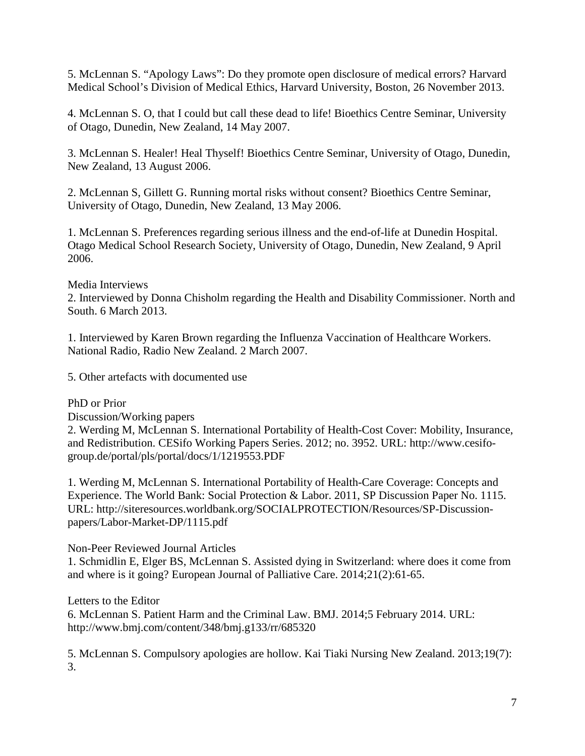5. McLennan S. "Apology Laws": Do they promote open disclosure of medical errors? Harvard Medical School's Division of Medical Ethics, Harvard University, Boston, 26 November 2013.

4. McLennan S. O, that I could but call these dead to life! Bioethics Centre Seminar, University of Otago, Dunedin, New Zealand, 14 May 2007.

3. McLennan S. Healer! Heal Thyself! Bioethics Centre Seminar, University of Otago, Dunedin, New Zealand, 13 August 2006.

2. McLennan S, Gillett G. Running mortal risks without consent? Bioethics Centre Seminar, University of Otago, Dunedin, New Zealand, 13 May 2006.

1. McLennan S. Preferences regarding serious illness and the end-of-life at Dunedin Hospital. Otago Medical School Research Society, University of Otago, Dunedin, New Zealand, 9 April 2006.

### Media Interviews

2. Interviewed by Donna Chisholm regarding the Health and Disability Commissioner. North and South. 6 March 2013.

1. Interviewed by Karen Brown regarding the Influenza Vaccination of Healthcare Workers. National Radio, Radio New Zealand. 2 March 2007.

5. Other artefacts with documented use

PhD or Prior

Discussion/Working papers

2. Werding M, McLennan S. International Portability of Health-Cost Cover: Mobility, Insurance, and Redistribution. CESifo Working Papers Series. 2012; no. 3952. URL: http://www.cesifogroup.de/portal/pls/portal/docs/1/1219553.PDF

1. Werding M, McLennan S. International Portability of Health-Care Coverage: Concepts and Experience. The World Bank: Social Protection & Labor. 2011, SP Discussion Paper No. 1115. URL: http://siteresources.worldbank.org/SOCIALPROTECTION/Resources/SP-Discussionpapers/Labor-Market-DP/1115.pdf

Non-Peer Reviewed Journal Articles

1. Schmidlin E, Elger BS, McLennan S. Assisted dying in Switzerland: where does it come from and where is it going? European Journal of Palliative Care. 2014;21(2):61-65.

Letters to the Editor

6. McLennan S. Patient Harm and the Criminal Law. BMJ. 2014;5 February 2014. URL: http://www.bmj.com/content/348/bmj.g133/rr/685320

5. McLennan S. Compulsory apologies are hollow. Kai Tiaki Nursing New Zealand. 2013;19(7): 3.